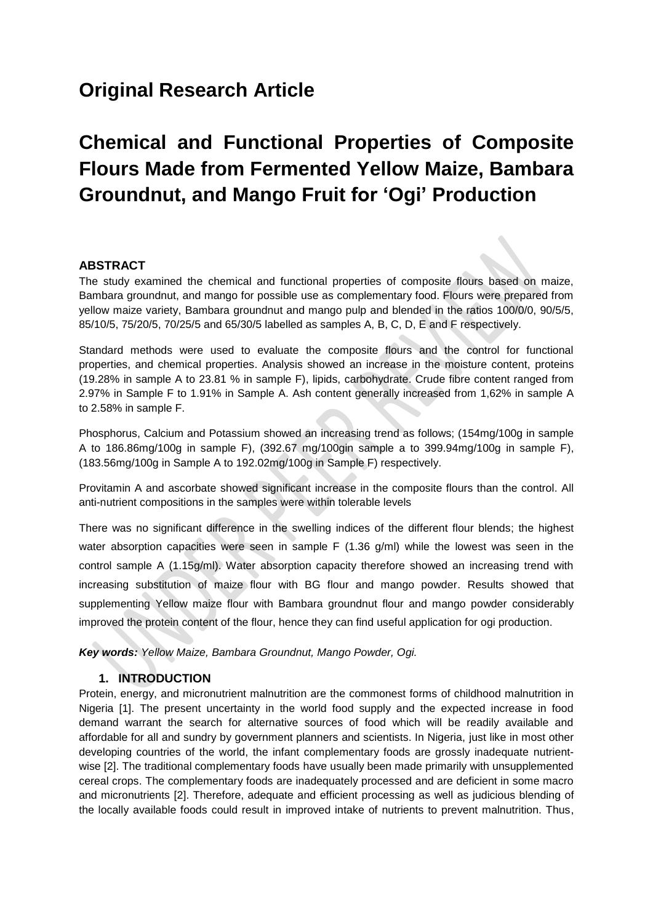# **Original Research Article**

# **Chemical and Functional Properties of Composite Flours Made from Fermented Yellow Maize, Bambara Groundnut, and Mango Fruit for 'Ogi' Production**

#### **ABSTRACT**

The study examined the chemical and functional properties of composite flours based on maize, Bambara groundnut, and mango for possible use as complementary food. Flours were prepared from yellow maize variety, Bambara groundnut and mango pulp and blended in the ratios 100/0/0, 90/5/5, 85/10/5, 75/20/5, 70/25/5 and 65/30/5 labelled as samples A, B, C, D, E and F respectively.

Standard methods were used to evaluate the composite flours and the control for functional properties, and chemical properties. Analysis showed an increase in the moisture content, proteins (19.28% in sample A to 23.81 % in sample F), lipids, carbohydrate. Crude fibre content ranged from 2.97% in Sample F to 1.91% in Sample A. Ash content generally increased from 1,62% in sample A to 2.58% in sample F.

Phosphorus, Calcium and Potassium showed an increasing trend as follows; (154mg/100g in sample A to 186.86mg/100g in sample F), (392.67 mg/100gin sample a to 399.94mg/100g in sample F), (183.56mg/100g in Sample A to 192.02mg/100g in Sample F) respectively.

Provitamin A and ascorbate showed significant increase in the composite flours than the control. All anti-nutrient compositions in the samples were within tolerable levels

There was no significant difference in the swelling indices of the different flour blends; the highest water absorption capacities were seen in sample F (1.36 g/ml) while the lowest was seen in the control sample A (1.15g/ml). Water absorption capacity therefore showed an increasing trend with increasing substitution of maize flour with BG flour and mango powder. Results showed that supplementing Yellow maize flour with Bambara groundnut flour and mango powder considerably improved the protein content of the flour, hence they can find useful application for ogi production.

*Key words: Yellow Maize, Bambara Groundnut, Mango Powder, Ogi.*

#### **1. INTRODUCTION**

Protein, energy, and micronutrient malnutrition are the commonest forms of childhood malnutrition in Nigeria [1]. The present uncertainty in the world food supply and the expected increase in food demand warrant the search for alternative sources of food which will be readily available and affordable for all and sundry by government planners and scientists. In Nigeria, just like in most other developing countries of the world, the infant complementary foods are grossly inadequate nutrientwise [2]. The traditional complementary foods have usually been made primarily with unsupplemented cereal crops. The complementary foods are inadequately processed and are deficient in some macro and micronutrients [2]. Therefore, adequate and efficient processing as well as judicious blending of the locally available foods could result in improved intake of nutrients to prevent malnutrition. Thus,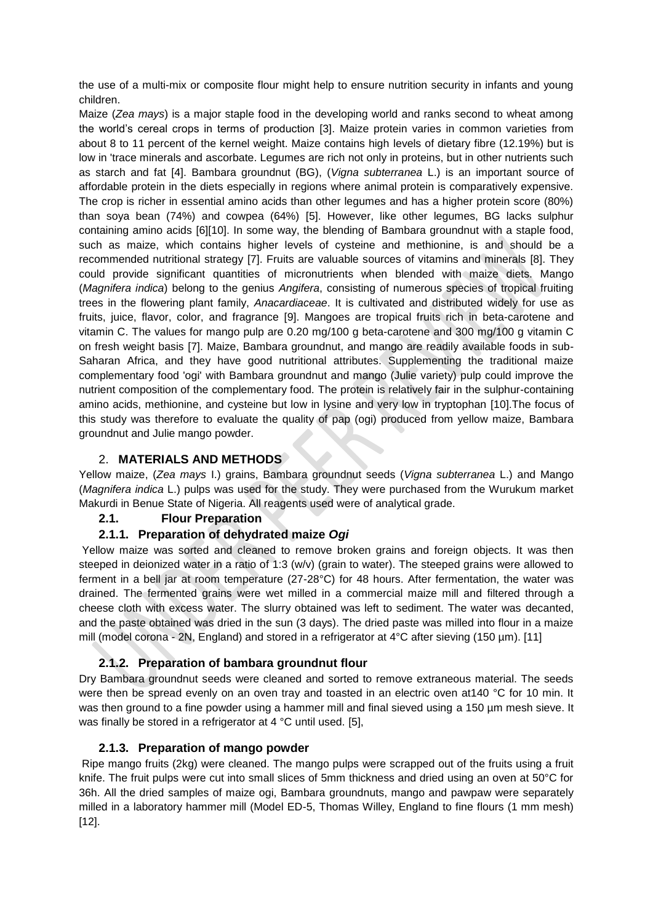the use of a multi-mix or composite flour might help to ensure nutrition security in infants and young children.

Maize (*Zea mays*) is a major staple food in the developing world and ranks second to wheat among the world's cereal crops in terms of production [3]. Maize protein varies in common varieties from about 8 to 11 percent of the kernel weight. Maize contains high levels of dietary fibre (12.19%) but is low in 'trace minerals and ascorbate. Legumes are rich not only in proteins, but in other nutrients such as starch and fat [4]. Bambara groundnut (BG), (*Vigna subterranea* L.) is an important source of affordable protein in the diets especially in regions where animal protein is comparatively expensive. The crop is richer in essential amino acids than other legumes and has a higher protein score (80%) than soya bean (74%) and cowpea (64%) [5]. However, like other legumes, BG lacks sulphur containing amino acids [6][10]. In some way, the blending of Bambara groundnut with a staple food, such as maize, which contains higher levels of cysteine and methionine, is and should be a recommended nutritional strategy [7]. Fruits are valuable sources of vitamins and minerals [8]. They could provide significant quantities of micronutrients when blended with maize diets. Mango (*Magnifera indica*) belong to the genius *Angifera*, consisting of numerous species of tropical fruiting trees in the flowering plant family, *Anacardiaceae*. It is cultivated and distributed widely for use as fruits, juice, flavor, color, and fragrance [9]. Mangoes are tropical fruits rich in beta-carotene and vitamin C. The values for mango pulp are 0.20 mg/100 g beta-carotene and 300 mg/100 g vitamin C on fresh weight basis [7]. Maize, Bambara groundnut, and mango are readily available foods in sub-Saharan Africa, and they have good nutritional attributes. Supplementing the traditional maize complementary food 'ogi' with Bambara groundnut and mango (Julie variety) pulp could improve the nutrient composition of the complementary food. The protein is relatively fair in the sulphur-containing amino acids, methionine, and cysteine but low in lysine and very low in tryptophan [10].The focus of this study was therefore to evaluate the quality of pap (ogi) produced from yellow maize, Bambara groundnut and Julie mango powder.

#### 2. **MATERIALS AND METHODS**

Yellow maize, (*Zea mays* I.) grains, Bambara groundnut seeds (*Vigna subterranea* L.) and Mango (*Magnifera indica* L.) pulps was used for the study. They were purchased from the Wurukum market Makurdi in Benue State of Nigeria. All reagents used were of analytical grade.

#### **2.1. Flour Preparation**

#### **2.1.1. Preparation of dehydrated maize** *Ogi*

Yellow maize was sorted and cleaned to remove broken grains and foreign objects. It was then steeped in deionized water in a ratio of 1:3 (w/v) (grain to water). The steeped grains were allowed to ferment in a bell jar at room temperature (27-28°C) for 48 hours. After fermentation, the water was drained. The fermented grains were wet milled in a commercial maize mill and filtered through a cheese cloth with excess water. The slurry obtained was left to sediment. The water was decanted, and the paste obtained was dried in the sun (3 days). The dried paste was milled into flour in a maize mill (model corona - 2N, England) and stored in a refrigerator at 4°C after sieving (150 µm). [11]

#### **2.1.2. Preparation of bambara groundnut flour**

Dry Bambara groundnut seeds were cleaned and sorted to remove extraneous material. The seeds were then be spread evenly on an oven tray and toasted in an electric oven at 140 °C for 10 min. It was then ground to a fine powder using a hammer mill and final sieved using a 150 µm mesh sieve. It was finally be stored in a refrigerator at 4 °C until used. [5],

#### **2.1.3. Preparation of mango powder**

Ripe mango fruits (2kg) were cleaned. The mango pulps were scrapped out of the fruits using a fruit knife. The fruit pulps were cut into small slices of 5mm thickness and dried using an oven at 50°C for 36h. All the dried samples of maize ogi, Bambara groundnuts, mango and pawpaw were separately milled in a laboratory hammer mill (Model ED-5, Thomas Willey, England to fine flours (1 mm mesh) [12].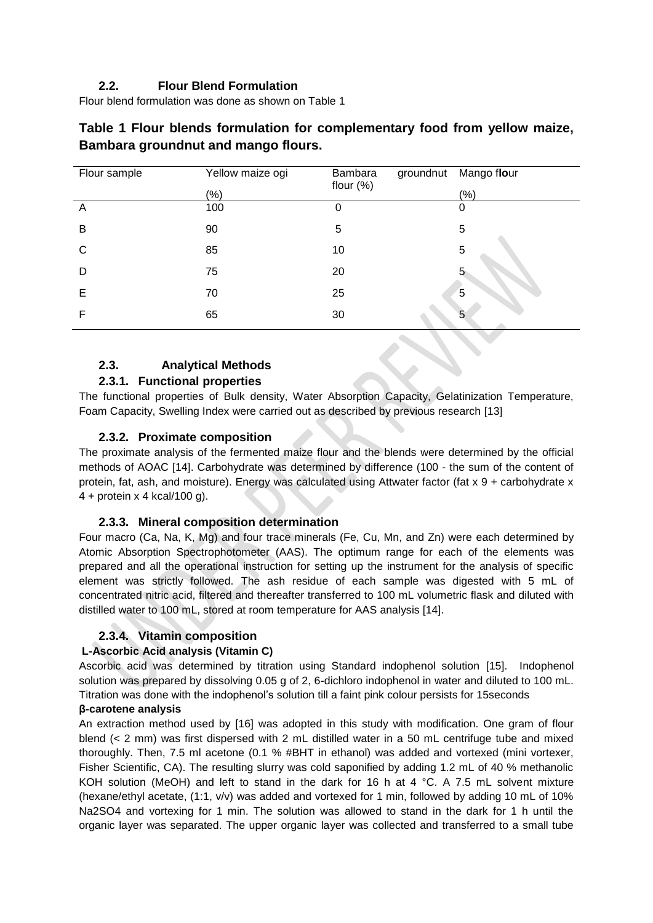# **2.2. Flour Blend Formulation**

Flour blend formulation was done as shown on Table 1

| Yellow maize ogi | Bambara | Mango flour               |
|------------------|---------|---------------------------|
| (%)              |         | (% )                      |
| 100              | Ω       | 0                         |
| 90               | 5       | 5                         |
| 85               | 10      | 5                         |
| 75               | 20      |                           |
| 70               | 25      | 5                         |
| 65               | 30      | 5                         |
|                  |         | groundnut<br>flour $(\%)$ |

# **Table 1 Flour blends formulation for complementary food from yellow maize, Bambara groundnut and mango flours.**

# **2.3. Analytical Methods**

#### **2.3.1. Functional properties**

The functional properties of Bulk density, Water Absorption Capacity, Gelatinization Temperature, Foam Capacity, Swelling Index were carried out as described by previous research [13]

## **2.3.2. Proximate composition**

The proximate analysis of the fermented maize flour and the blends were determined by the official methods of AOAC [14]. Carbohydrate was determined by difference (100 - the sum of the content of protein, fat, ash, and moisture). Energy was calculated using Attwater factor (fat x 9 + carbohydrate x 4 + protein x 4 kcal/100 g).

#### **2.3.3. Mineral composition determination**

Four macro (Ca, Na, K, Mg) and four trace minerals (Fe, Cu, Mn, and Zn) were each determined by Atomic Absorption Spectrophotometer (AAS). The optimum range for each of the elements was prepared and all the operational instruction for setting up the instrument for the analysis of specific element was strictly followed. The ash residue of each sample was digested with 5 mL of concentrated nitric acid, filtered and thereafter transferred to 100 mL volumetric flask and diluted with distilled water to 100 mL, stored at room temperature for AAS analysis [14].

# **2.3.4. Vitamin composition**

#### **L-Ascorbic Acid analysis (Vitamin C)**

Ascorbic acid was determined by titration using Standard indophenol solution [15]. Indophenol solution was prepared by dissolving 0.05 g of 2, 6-dichloro indophenol in water and diluted to 100 mL. Titration was done with the indophenol's solution till a faint pink colour persists for 15seconds

#### **β-carotene analysis**

An extraction method used by [16] was adopted in this study with modification. One gram of flour blend (< 2 mm) was first dispersed with 2 mL distilled water in a 50 mL centrifuge tube and mixed thoroughly. Then, 7.5 ml acetone (0.1 % #BHT in ethanol) was added and vortexed (mini vortexer, Fisher Scientific, CA). The resulting slurry was cold saponified by adding 1.2 mL of 40 % methanolic KOH solution (MeOH) and left to stand in the dark for 16 h at 4 °C. A 7.5 mL solvent mixture (hexane/ethyl acetate, (1:1, v/v) was added and vortexed for 1 min, followed by adding 10 mL of 10% Na2SO4 and vortexing for 1 min. The solution was allowed to stand in the dark for 1 h until the organic layer was separated. The upper organic layer was collected and transferred to a small tube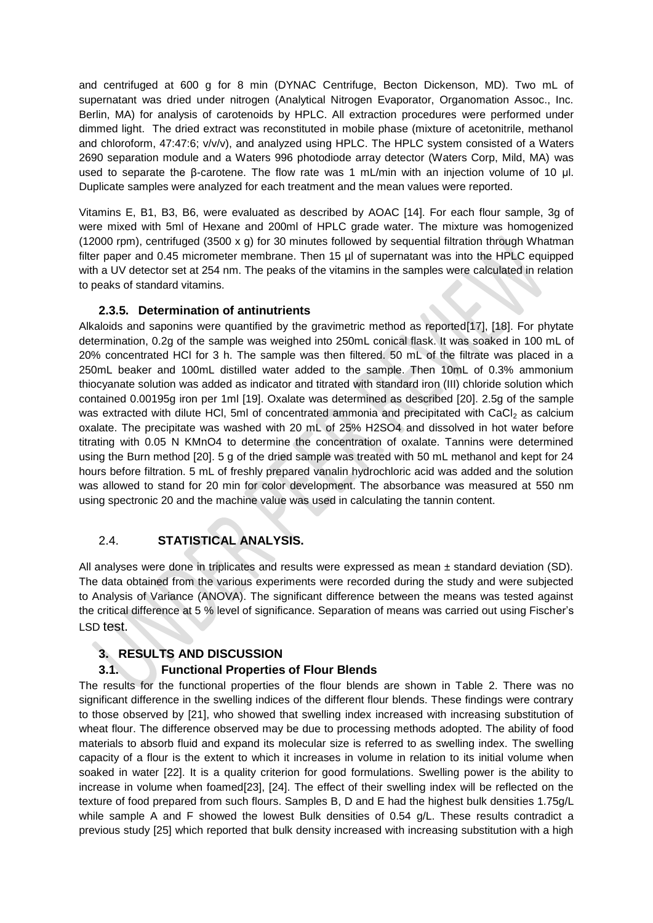and centrifuged at 600 g for 8 min (DYNAC Centrifuge, Becton Dickenson, MD). Two mL of supernatant was dried under nitrogen (Analytical Nitrogen Evaporator, Organomation Assoc., Inc. Berlin, MA) for analysis of carotenoids by HPLC. All extraction procedures were performed under dimmed light. The dried extract was reconstituted in mobile phase (mixture of acetonitrile, methanol and chloroform, 47:47:6; v/v/v), and analyzed using HPLC. The HPLC system consisted of a Waters 2690 separation module and a Waters 996 photodiode array detector (Waters Corp, Mild, MA) was used to separate the β-carotene. The flow rate was 1 mL/min with an injection volume of 10 μl. Duplicate samples were analyzed for each treatment and the mean values were reported.

Vitamins E, B1, B3, B6, were evaluated as described by AOAC [14]. For each flour sample, 3g of were mixed with 5ml of Hexane and 200ml of HPLC grade water. The mixture was homogenized (12000 rpm), centrifuged (3500 x g) for 30 minutes followed by sequential filtration through Whatman filter paper and 0.45 micrometer membrane. Then 15 µl of supernatant was into the HPLC equipped with a UV detector set at 254 nm. The peaks of the vitamins in the samples were calculated in relation to peaks of standard vitamins.

#### **2.3.5. Determination of antinutrients**

Alkaloids and saponins were quantified by the gravimetric method as reported[17], [18]. For phytate determination, 0.2g of the sample was weighed into 250mL conical flask. It was soaked in 100 mL of 20% concentrated HCl for 3 h. The sample was then filtered. 50 mL of the filtrate was placed in a 250mL beaker and 100mL distilled water added to the sample. Then 10mL of 0.3% ammonium thiocyanate solution was added as indicator and titrated with standard iron (III) chloride solution which contained 0.00195g iron per 1ml [19]. Oxalate was determined as described [20]. 2.5g of the sample was extracted with dilute HCl, 5ml of concentrated ammonia and precipitated with CaCl<sub>2</sub> as calcium oxalate. The precipitate was washed with 20 mL of 25% H2SO4 and dissolved in hot water before titrating with 0.05 N KMnO4 to determine the concentration of oxalate. Tannins were determined using the Burn method [20]. 5 g of the dried sample was treated with 50 mL methanol and kept for 24 hours before filtration. 5 mL of freshly prepared vanalin hydrochloric acid was added and the solution was allowed to stand for 20 min for color development. The absorbance was measured at 550 nm using spectronic 20 and the machine value was used in calculating the tannin content.

#### 2.4. **STATISTICAL ANALYSIS.**

All analyses were done in triplicates and results were expressed as mean ± standard deviation (SD). The data obtained from the various experiments were recorded during the study and were subjected to Analysis of Variance (ANOVA). The significant difference between the means was tested against the critical difference at 5 % level of significance. Separation of means was carried out using Fischer's LSD test.

# **3. RESULTS AND DISCUSSION**

#### **3.1. Functional Properties of Flour Blends**

The results for the functional properties of the flour blends are shown in Table 2. There was no significant difference in the swelling indices of the different flour blends. These findings were contrary to those observed by [21], who showed that swelling index increased with increasing substitution of wheat flour. The difference observed may be due to processing methods adopted. The ability of food materials to absorb fluid and expand its molecular size is referred to as swelling index. The swelling capacity of a flour is the extent to which it increases in volume in relation to its initial volume when soaked in water [22]. It is a quality criterion for good formulations. Swelling power is the ability to increase in volume when foamed[23], [24]. The effect of their swelling index will be reflected on the texture of food prepared from such flours. Samples B, D and E had the highest bulk densities 1.75g/L while sample A and F showed the lowest Bulk densities of 0.54 g/L. These results contradict a previous study [25] which reported that bulk density increased with increasing substitution with a high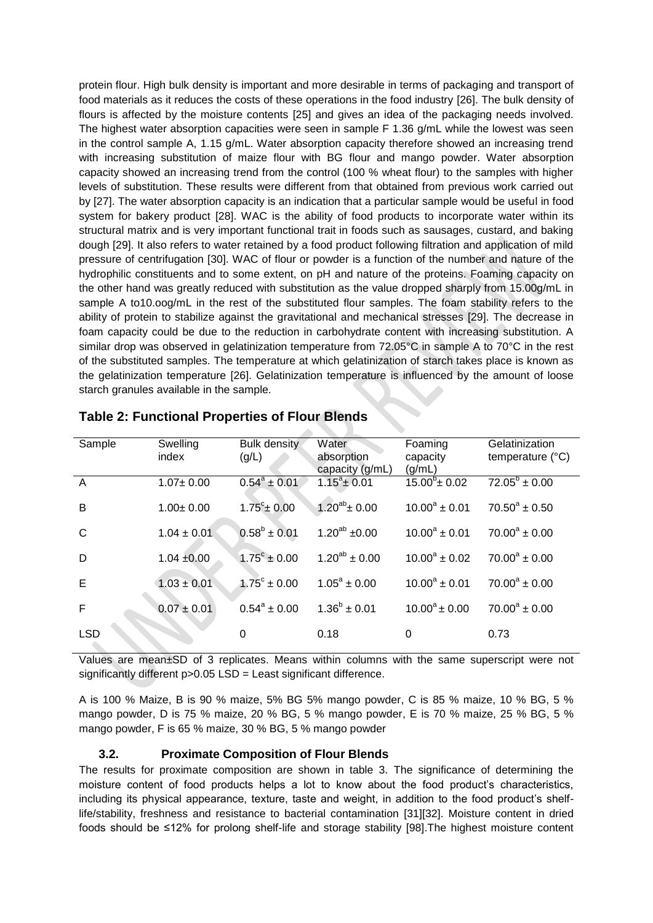protein flour. High bulk density is important and more desirable in terms of packaging and transport of food materials as it reduces the costs of these operations in the food industry [26]. The bulk density of flours is affected by the moisture contents [25] and gives an idea of the packaging needs involved. The highest water absorption capacities were seen in sample F 1.36 g/mL while the lowest was seen in the control sample A, 1.15 g/mL. Water absorption capacity therefore showed an increasing trend with increasing substitution of maize flour with BG flour and mango powder. Water absorption capacity showed an increasing trend from the control (100 % wheat flour) to the samples with higher levels of substitution. These results were different from that obtained from previous work carried out by [27]. The water absorption capacity is an indication that a particular sample would be useful in food system for bakery product [28]. WAC is the ability of food products to incorporate water within its structural matrix and is very important functional trait in foods such as sausages, custard, and baking dough [29]. It also refers to water retained by a food product following filtration and application of mild pressure of centrifugation [30]. WAC of flour or powder is a function of the number and nature of the hydrophilic constituents and to some extent, on pH and nature of the proteins. Foaming capacity on the other hand was greatly reduced with substitution as the value dropped sharply from 15.00g/mL in sample A to10.oog/mL in the rest of the substituted flour samples. The foam stability refers to the ability of protein to stabilize against the gravitational and mechanical stresses [29]. The decrease in foam capacity could be due to the reduction in carbohydrate content with increasing substitution. A similar drop was observed in gelatinization temperature from 72.05°C in sample A to 70°C in the rest of the substituted samples. The temperature at which gelatinization of starch takes place is known as the gelatinization temperature [26]. Gelatinization temperature is influenced by the amount of loose starch granules available in the sample.

| Sample         | Swelling<br>index | <b>Bulk density</b><br>(g/L) | Water<br>absorption<br>capacity (g/mL) | Foaming<br>capacity<br>(g/mL) | Gelatinization<br>temperature (°C) |
|----------------|-------------------|------------------------------|----------------------------------------|-------------------------------|------------------------------------|
| $\overline{A}$ | $1.07 \pm 0.00$   | $0.54^a \pm 0.01$            | $1.15^a \pm 0.01$                      | $15.00^6 \pm 0.02$            | $72.05^b \pm 0.00$                 |
| B              | $1.00 \pm 0.00$   | $1.75^{\circ}$ ± 0.00        | $1.20^{ab}$ ± 0.00                     | $10.00^a \pm 0.01$            | $70.50^a \pm 0.50$                 |
| $\mathsf{C}$   | $1.04 \pm 0.01$   | $0.58^b \pm 0.01$            | $1.20^{ab}$ ±0.00                      | $10.00^a \pm 0.01$            | $70.00^a \pm 0.00$                 |
| D              | $1.04 + 0.00$     | $1.75^{\circ} \pm 0.00$      | $1.20^{ab} \pm 0.00$                   | $10.00^a \pm 0.02$            | $70.00^a \pm 0.00$                 |
| E              | $1.03 \pm 0.01$   | $1.75^{\circ} \pm 0.00$      | $1.05^a \pm 0.00$                      | $10.00^a \pm 0.01$            | $70.00^a \pm 0.00$                 |
| F              | $0.07 \pm 0.01$   | $0.54^{\circ} \pm 0.00$      | $1.36^{b} \pm 0.01$                    | $10.00^a \pm 0.00$            | $70.00^a \pm 0.00$                 |
| <b>LSD</b>     |                   | 0                            | 0.18                                   | 0                             | 0.73                               |

| <b>Table 2: Functional Properties of Flour Blends</b> |  |
|-------------------------------------------------------|--|
|-------------------------------------------------------|--|

Values are mean±SD of 3 replicates. Means within columns with the same superscript were not significantly different p>0.05 LSD = Least significant difference.

A is 100 % Maize, B is 90 % maize, 5% BG 5% mango powder, C is 85 % maize, 10 % BG, 5 % mango powder, D is 75 % maize, 20 % BG, 5 % mango powder, E is 70 % maize, 25 % BG, 5 % mango powder, F is 65 % maize, 30 % BG, 5 % mango powder

#### **3.2. Proximate Composition of Flour Blends**

The results for proximate composition are shown in table 3. The significance of determining the moisture content of food products helps a lot to know about the food product's characteristics, including its physical appearance, texture, taste and weight, in addition to the food product's shelflife/stability, freshness and resistance to bacterial contamination [31][32]. Moisture content in dried foods should be ≤12% for prolong shelf-life and storage stability [98].The highest moisture content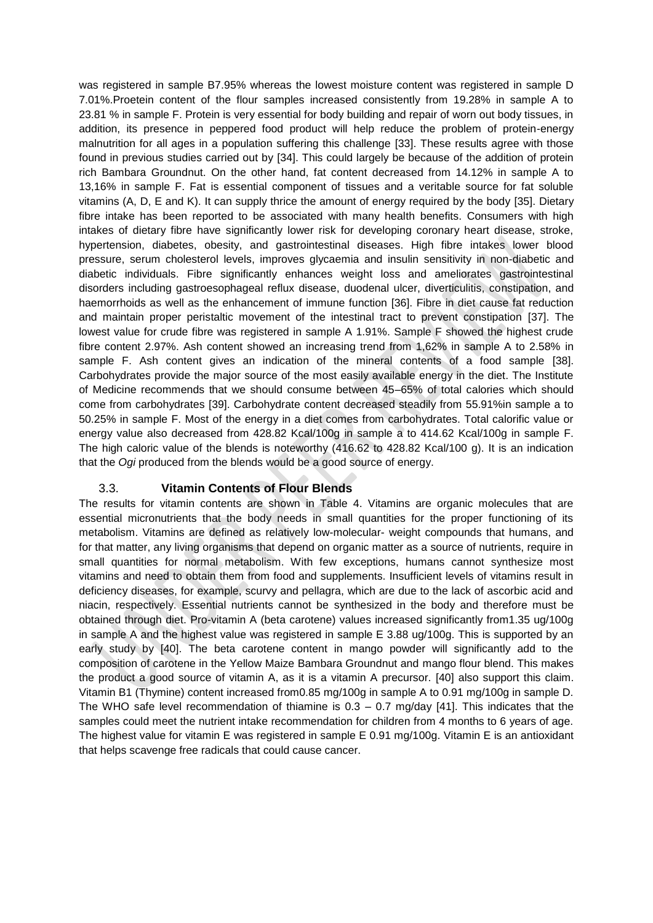was registered in sample B7.95% whereas the lowest moisture content was registered in sample D 7.01%.Proetein content of the flour samples increased consistently from 19.28% in sample A to 23.81 % in sample F. Protein is very essential for body building and repair of worn out body tissues, in addition, its presence in peppered food product will help reduce the problem of protein-energy malnutrition for all ages in a population suffering this challenge [33]. These results agree with those found in previous studies carried out by [34]. This could largely be because of the addition of protein rich Bambara Groundnut. On the other hand, fat content decreased from 14.12% in sample A to 13,16% in sample F. Fat is essential component of tissues and a veritable source for fat soluble vitamins (A, D, E and K). It can supply thrice the amount of energy required by the body [35]. Dietary fibre intake has been reported to be associated with many health benefits. Consumers with high intakes of dietary fibre have significantly lower risk for developing coronary heart disease, stroke, hypertension, diabetes, obesity, and gastrointestinal diseases. High fibre intakes lower blood pressure, serum cholesterol levels, improves glycaemia and insulin sensitivity in non-diabetic and diabetic individuals. Fibre significantly enhances weight loss and ameliorates gastrointestinal disorders including gastroesophageal reflux disease, duodenal ulcer, diverticulitis, constipation, and haemorrhoids as well as the enhancement of immune function [36]. Fibre in diet cause fat reduction and maintain proper peristaltic movement of the intestinal tract to prevent constipation [37]. The lowest value for crude fibre was registered in sample A 1.91%. Sample F showed the highest crude fibre content 2.97%. Ash content showed an increasing trend from 1,62% in sample A to 2.58% in sample F. Ash content gives an indication of the mineral contents of a food sample [38]. Carbohydrates provide the major source of the most easily available energy in the diet. The Institute of Medicine recommends that we should consume between 45–65% of total calories which should come from carbohydrates [39]. Carbohydrate content decreased steadily from 55.91%in sample a to 50.25% in sample F. Most of the energy in a diet comes from carbohydrates. Total calorific value or energy value also decreased from 428.82 Kcal/100g in sample a to 414.62 Kcal/100g in sample F. The high caloric value of the blends is noteworthy (416.62 to 428.82 Kcal/100 g). It is an indication that the *Ogi* produced from the blends would be a good source of energy.

#### 3.3. **Vitamin Contents of Flour Blends**

The results for vitamin contents are shown in Table 4. Vitamins are organic molecules that are essential micronutrients that the body needs in small quantities for the proper functioning of its metabolism. Vitamins are defined as relatively low-molecular- weight compounds that humans, and for that matter, any living organisms that depend on organic matter as a source of nutrients, require in small quantities for normal metabolism. With few exceptions, humans cannot synthesize most vitamins and need to obtain them from food and supplements. Insufficient levels of vitamins result in deficiency diseases, for example, scurvy and pellagra, which are due to the lack of ascorbic acid and niacin, respectively. Essential nutrients cannot be synthesized in the body and therefore must be obtained through diet. Pro-vitamin A (beta carotene) values increased significantly from1.35 ug/100g in sample A and the highest value was registered in sample E 3.88 ug/100g. This is supported by an early study by [40]. The beta carotene content in mango powder will significantly add to the composition of carotene in the Yellow Maize Bambara Groundnut and mango flour blend. This makes the product a good source of vitamin A, as it is a vitamin A precursor. [40] also support this claim. Vitamin B1 (Thymine) content increased from0.85 mg/100g in sample A to 0.91 mg/100g in sample D. The WHO safe level recommendation of thiamine is  $0.3 - 0.7$  mg/day [41]. This indicates that the samples could meet the nutrient intake recommendation for children from 4 months to 6 years of age. The highest value for vitamin E was registered in sample E 0.91 mg/100g. Vitamin E is an antioxidant that helps scavenge free radicals that could cause cancer.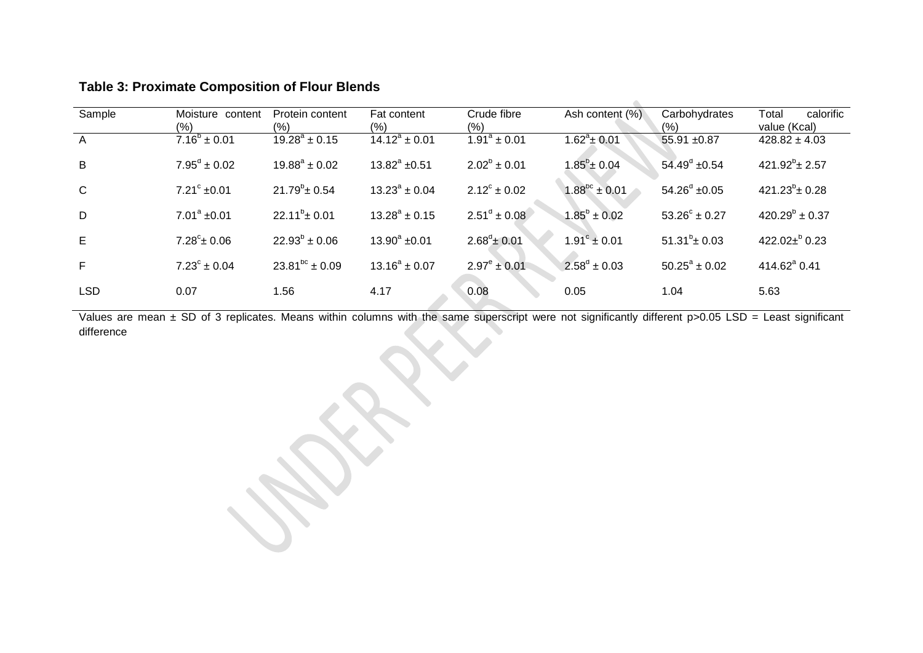| Sample     | Moisture content<br>$(\% )$ | Protein content<br>(%) | Fat content<br>(%)       | Crude fibre<br>(% )     | Ash content (%)            | Carbohydrates<br>(% )    | Total<br>calorific<br>value (Kcal) |
|------------|-----------------------------|------------------------|--------------------------|-------------------------|----------------------------|--------------------------|------------------------------------|
| A          | $7.16^b \pm 0.01$           | $19.28^a \pm 0.15$     | $14.12^a \pm 0.01$       | $1.91^a \pm 0.01$       | $1.62^a \pm 0.01$          | 55.91 ±0.87              | $428.82 \pm 4.03$                  |
| B          | $7.95^d \pm 0.02$           | $19.88^a \pm 0.02$     | $13.82^a \pm 0.51$       | $2.02^b \pm 0.01$       | $1.85^{\mathrm{b}}$ ± 0.04 | $54.49^d \pm 0.54$       | $421.92^b \pm 2.57$                |
| C          | $7.21^{\circ}$ ±0.01        | $21.79^b \pm 0.54$     | $13.23^{\circ} \pm 0.04$ | $2.12^{\circ} \pm 0.02$ | $1.88^{bc} \pm 0.01$       | $54.26^{\circ}$ ±0.05    | $421.23^b \pm 0.28$                |
| D          | $7.01^a \pm 0.01$           | $22.11^{b} \pm 0.01$   | $13.28^a \pm 0.15$       | $2.51^d \pm 0.08$       | $1.85^b \pm 0.02$          | $53.26^{\circ} \pm 0.27$ | $420.29^b \pm 0.37$                |
| E          | $7.28^{\circ}$ ± 0.06       | $22.93^{b} \pm 0.06$   | $13.90^a \pm 0.01$       | $2.68^d \pm 0.01$       | $1.91^{\circ} \pm 0.01$    | $51.31^b \pm 0.03$       | 422.02 $\pm$ <sup>b</sup> 0.23     |
| F          | $7.23^{\circ} \pm 0.04$     | $23.81^{bc} \pm 0.09$  | $13.16^a \pm 0.07$       | $2.97^e \pm 0.01$       | $2.58^d \pm 0.03$          | $50.25^a \pm 0.02$       | 414.62 <sup>ª</sup> 0.41           |
| <b>LSD</b> | 0.07                        | 1.56                   | 4.17                     | 0.08                    | 0.05                       | 1.04                     | 5.63                               |

# **Table 3: Proximate Composition of Flour Blends**

Values are mean ± SD of 3 replicates. Means within columns with the same superscript were not significantly different p>0.05 LSD = Least significant difference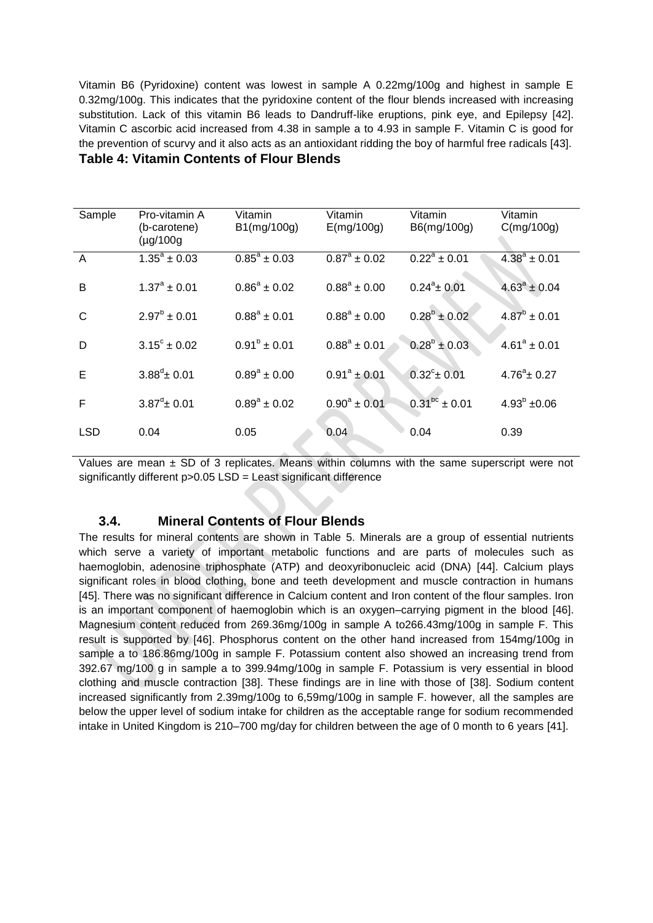Vitamin B6 (Pyridoxine) content was lowest in sample A 0.22mg/100g and highest in sample E 0.32mg/100g. This indicates that the pyridoxine content of the flour blends increased with increasing substitution. Lack of this vitamin B6 leads to Dandruff-like eruptions, pink eye, and Epilepsy [42]. Vitamin C ascorbic acid increased from 4.38 in sample a to 4.93 in sample F. Vitamin C is good for the prevention of scurvy and it also acts as an antioxidant ridding the boy of harmful free radicals [43]. **Table 4: Vitamin Contents of Flour Blends**

| Sample         | Pro-vitamin A<br>(b-carotene)<br>$(\mu g/100g)$ | Vitamin<br>B1(mg/100g)  | Vitamin<br>E(mg/100g) | Vitamin<br>B6(mg/100g) | Vitamin<br>C(mg/100g) |
|----------------|-------------------------------------------------|-------------------------|-----------------------|------------------------|-----------------------|
| $\overline{A}$ | $\overline{1.35^a}$ ± 0.03                      | $0.85^{\circ} \pm 0.03$ | $0.87^a \pm 0.02$     | $0.22^a \pm 0.01$      | $4.38^a \pm 0.01$     |
| B              | $1.37^{\circ} \pm 0.01$                         | $0.86^a \pm 0.02$       | $0.88^a \pm 0.00$     | $0.24^a \pm 0.01$      | $4.63^a \pm 0.04$     |
| C              | $2.97^b \pm 0.01$                               | $0.88^a \pm 0.01$       | $0.88^a \pm 0.00$     | $0.28^b \pm 0.02$      | $4.87^b \pm 0.01$     |
| D              | $3.15^{\circ} \pm 0.02$                         | $0.91^b \pm 0.01$       | $0.88^a \pm 0.01$     | $0.28^b \pm 0.03$      | $4.61^a \pm 0.01$     |
| Е              | $3.88^d \pm 0.01$                               | $0.89^a \pm 0.00$       | $0.91^a \pm 0.01$     | $0.32^{\circ}$ ± 0.01  | $4.76^a \pm 0.27$     |
| F              | $3.87^{\circ}$ ± 0.01                           | $0.89^a \pm 0.02$       | $0.90^a \pm 0.01$     | $0.31^{bc}$ ± 0.01     | $4.93^b \pm 0.06$     |
| <b>LSD</b>     | 0.04                                            | 0.05                    | 0.04                  | 0.04                   | 0.39                  |

Values are mean  $\pm$  SD of 3 replicates. Means within columns with the same superscript were not significantly different p>0.05 LSD = Least significant difference

# **3.4. Mineral Contents of Flour Blends**

The results for mineral contents are shown in Table 5. Minerals are a group of essential nutrients which serve a variety of important metabolic functions and are parts of molecules such as haemoglobin, adenosine triphosphate (ATP) and deoxyribonucleic acid (DNA) [44]. Calcium plays significant roles in blood clothing, bone and teeth development and muscle contraction in humans [45]. There was no significant difference in Calcium content and Iron content of the flour samples. Iron is an important component of haemoglobin which is an oxygen–carrying pigment in the blood [46]. Magnesium content reduced from 269.36mg/100g in sample A to266.43mg/100g in sample F. This result is supported by [46]. Phosphorus content on the other hand increased from 154mg/100g in sample a to 186.86mg/100g in sample F. Potassium content also showed an increasing trend from 392.67 mg/100 g in sample a to 399.94mg/100g in sample F. Potassium is very essential in blood clothing and muscle contraction [38]. These findings are in line with those of [38]. Sodium content increased significantly from 2.39mg/100g to 6,59mg/100g in sample F. however, all the samples are below the upper level of sodium intake for children as the acceptable range for sodium recommended intake in United Kingdom is 210–700 mg/day for children between the age of 0 month to 6 years [41].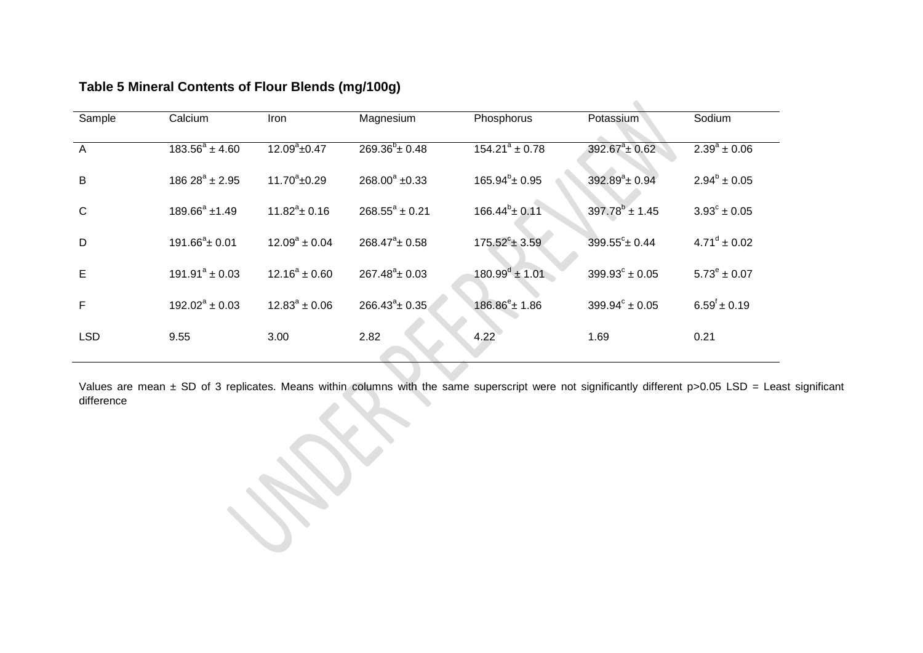| Sample         | Calcium             | <b>Iron</b>        | Magnesium               | Phosphorus              | Potassium                 | Sodium                    |
|----------------|---------------------|--------------------|-------------------------|-------------------------|---------------------------|---------------------------|
| $\overline{A}$ | $183.56^a \pm 4.60$ | $12.09^a \pm 0.47$ | $269.36^{b} \pm 0.48$   | $154.21^a \pm 0.78$     | $392.67^a \pm 0.62$       | $2.39^a \pm 0.06$         |
| B              | $18628^a \pm 2.95$  | $11.70^a \pm 0.29$ | $268.00^a \pm 0.33$     | $165.94^b \pm 0.95$     | $392.89^a \pm 0.94$       | $2.94^b \pm 0.05$         |
| $\mathsf{C}$   | $189.66^a \pm 1.49$ | $11.82^a \pm 0.16$ | $268.55^a \pm 0.21$     | $166.44^{\circ}$ ± 0.11 | $397.78^b \pm 1.45$       | $3.93^{\circ} \pm 0.05$   |
| D              | $191.66^a \pm 0.01$ | $12.09^a \pm 0.04$ | $268.47^{\circ}$ ± 0.58 | $175.52^{\circ}$ ± 3.59 | $399.55^{\circ}$ ± 0.44   | $4.71^{\circ} \pm 0.02$   |
| E              | $191.91^a \pm 0.03$ | $12.16^a \pm 0.60$ | $267.48^a \pm 0.03$     | $180.99^d \pm 1.01$     | $399.93^{\circ} \pm 0.05$ | $5.73^e \pm 0.07$         |
| F              | $192.02^a \pm 0.03$ | $12.83^a \pm 0.06$ | $266.43^a \pm 0.35$     | $186.86^e \pm 1.86$     | $399.94^{\circ} \pm 0.05$ | $6.59^{\dagger} \pm 0.19$ |
| <b>LSD</b>     | 9.55                | 3.00               | 2.82                    | 4.22                    | 1.69                      | 0.21                      |
|                |                     |                    |                         |                         |                           |                           |

# **Table 5 Mineral Contents of Flour Blends (mg/100g)**

Values are mean ± SD of 3 replicates. Means within columns with the same superscript were not significantly different p>0.05 LSD = Least significant difference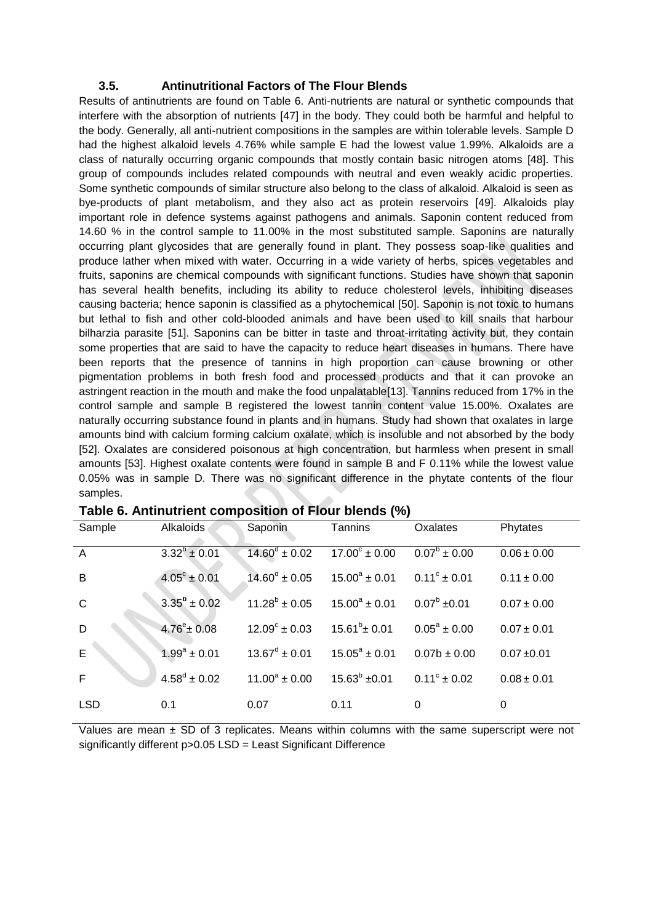#### **3.5. Antinutritional Factors of The Flour Blends**

Results of antinutrients are found on Table 6. Anti-nutrients are natural or synthetic compounds that interfere with the absorption of nutrients [47] in the body. They could both be harmful and helpful to the body. Generally, all anti-nutrient compositions in the samples are within tolerable levels. Sample D had the highest alkaloid levels 4.76% while sample E had the lowest value 1.99%. Alkaloids are a class of naturally occurring organic compounds that mostly contain basic nitrogen atoms [48]. This group of compounds includes related compounds with neutral and even weakly acidic properties. Some synthetic compounds of similar structure also belong to the class of alkaloid. Alkaloid is seen as bye-products of plant metabolism, and they also act as protein reservoirs [49]. Alkaloids play important role in defence systems against pathogens and animals. Saponin content reduced from 14.60 % in the control sample to 11.00% in the most substituted sample. Saponins are naturally occurring plant glycosides that are generally found in plant. They possess soap-like qualities and produce lather when mixed with water. Occurring in a wide variety of herbs, spices vegetables and fruits, saponins are chemical compounds with significant functions. Studies have shown that saponin has several health benefits, including its ability to reduce cholesterol levels, inhibiting diseases causing bacteria; hence saponin is classified as a phytochemical [50]. Saponin is not toxic to humans but lethal to fish and other cold-blooded animals and have been used to kill snails that harbour bilharzia parasite [51]. Saponins can be bitter in taste and throat-irritating activity but, they contain some properties that are said to have the capacity to reduce heart diseases in humans. There have been reports that the presence of tannins in high proportion can cause browning or other pigmentation problems in both fresh food and processed products and that it can provoke an astringent reaction in the mouth and make the food unpalatable[13]. Tannins reduced from 17% in the control sample and sample B registered the lowest tannin content value 15.00%. Oxalates are naturally occurring substance found in plants and in humans. Study had shown that oxalates in large amounts bind with calcium forming calcium oxalate, which is insoluble and not absorbed by the body [52]. Oxalates are considered poisonous at high concentration, but harmless when present in small amounts [53]. Highest oxalate contents were found in sample B and F 0.11% while the lowest value 0.05% was in sample D. There was no significant difference in the phytate contents of the flour samples.

| Sample         | Alkaloids               | Saponin                  | Tannins                  | Oxalates                | Phytates        |
|----------------|-------------------------|--------------------------|--------------------------|-------------------------|-----------------|
| $\overline{A}$ | $3.32^{b} \pm 0.01$     | $14.60^{\circ} \pm 0.02$ | $17.00^{\circ} \pm 0.00$ | $0.07^{\circ} \pm 0.00$ | $0.06 \pm 0.00$ |
| B              | $4.05^{\circ} \pm 0.01$ | $14.60^{\circ} \pm 0.05$ | $15.00^a \pm 0.01$       | $0.11^{\circ} \pm 0.01$ | $0.11 \pm 0.00$ |
| $\mathsf{C}$   | $3.35^{\rm b} \pm 0.02$ | $11.28^b \pm 0.05$       | $15.00^a \pm 0.01$       | $0.07^b \pm 0.01$       | $0.07 \pm 0.00$ |
| D              | $4.76^{\circ}$ ± 0.08   | $12.09^{\circ} \pm 0.03$ | $15.61^b \pm 0.01$       | $0.05^a \pm 0.00$       | $0.07 \pm 0.01$ |
| $\overline{E}$ | $1.99^a \pm 0.01$       | $13.67^d \pm 0.01$       | $15.05^a \pm 0.01$       | $0.07b \pm 0.00$        | $0.07 + 0.01$   |
| F              | $4.58^d \pm 0.02$       | $11.00^a \pm 0.00$       | $15.63^b \pm 0.01$       | $0.11^{\circ} \pm 0.02$ | $0.08 \pm 0.01$ |
| <b>LSD</b>     | 0.1                     | 0.07                     | 0.11                     | 0                       | 0               |

| Table 6. Antinutrient composition of Flour blends (%) |  |
|-------------------------------------------------------|--|
|-------------------------------------------------------|--|

Values are mean  $\pm$  SD of 3 replicates. Means within columns with the same superscript were not significantly different p>0.05 LSD = Least Significant Difference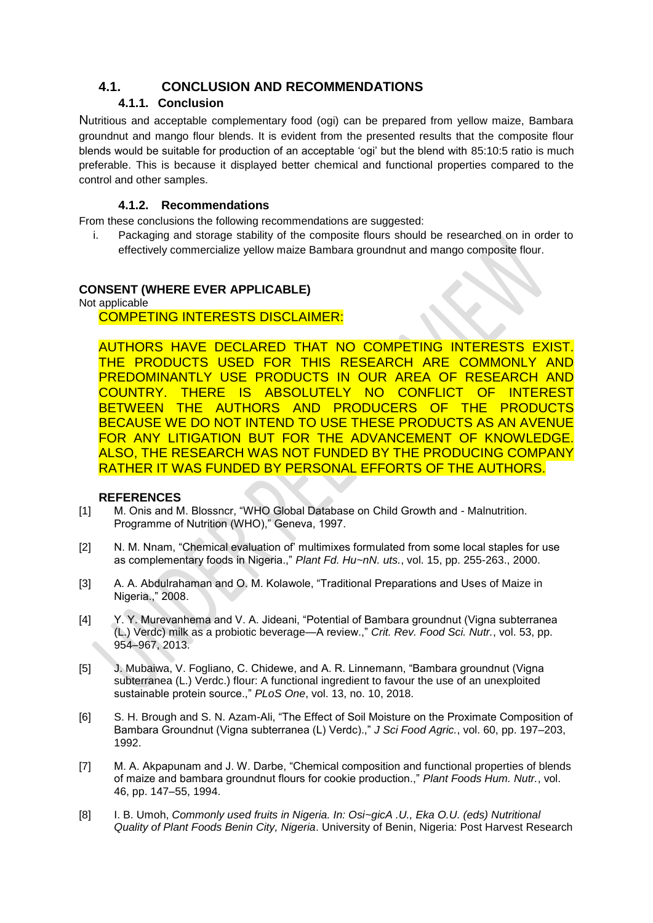# **4.1. CONCLUSION AND RECOMMENDATIONS**

# **4.1.1. Conclusion**

Nutritious and acceptable complementary food (ogi) can be prepared from yellow maize, Bambara groundnut and mango flour blends. It is evident from the presented results that the composite flour blends would be suitable for production of an acceptable 'ogi' but the blend with 85:10:5 ratio is much preferable. This is because it displayed better chemical and functional properties compared to the control and other samples.

## **4.1.2. Recommendations**

From these conclusions the following recommendations are suggested:

i. Packaging and storage stability of the composite flours should be researched on in order to effectively commercialize yellow maize Bambara groundnut and mango composite flour.

#### **CONSENT (WHERE EVER APPLICABLE)**

Not applicable

## COMPETING INTERESTS DISCLAIMER:

AUTHORS HAVE DECLARED THAT NO COMPETING INTERESTS EXIST. THE PRODUCTS USED FOR THIS RESEARCH ARE COMMONLY AND PREDOMINANTLY USE PRODUCTS IN OUR AREA OF RESEARCH AND COUNTRY. THERE IS ABSOLUTELY NO CONFLICT OF INTEREST BETWEEN THE AUTHORS AND PRODUCERS OF THE PRODUCTS BECAUSE WE DO NOT INTEND TO USE THESE PRODUCTS AS AN AVENUE FOR ANY LITIGATION BUT FOR THE ADVANCEMENT OF KNOWLEDGE. ALSO, THE RESEARCH WAS NOT FUNDED BY THE PRODUCING COMPANY RATHER IT WAS FUNDED BY PERSONAL EFFORTS OF THE AUTHORS.

#### **REFERENCES**

- [1] M. Onis and M. Blossncr, "WHO Global Database on Child Growth and Malnutrition. Programme of Nutrition (WHO)," Geneva, 1997.
- [2] N. M. Nnam, "Chemical evaluation of' multimixes formulated from some local staples for use as complementary foods in Nigeria.," *Plant Fd. Hu~nN. uts.*, vol. 15, pp. 255-263., 2000.
- [3] A. A. Abdulrahaman and O. M. Kolawole, "Traditional Preparations and Uses of Maize in Nigeria.," 2008.
- [4] Y. Y. Murevanhema and V. A. Jideani, "Potential of Bambara groundnut (Vigna subterranea (L.) Verdc) milk as a probiotic beverage—A review.," *Crit. Rev. Food Sci. Nutr.*, vol. 53, pp. 954–967, 2013.
- [5] J. Mubaiwa, V. Fogliano, C. Chidewe, and A. R. Linnemann, "Bambara groundnut (Vigna subterranea (L.) Verdc.) flour: A functional ingredient to favour the use of an unexploited sustainable protein source.," *PLoS One*, vol. 13, no. 10, 2018.
- [6] S. H. Brough and S. N. Azam-Ali, "The Effect of Soil Moisture on the Proximate Composition of Bambara Groundnut (Vigna subterranea (L) Verdc).," *J Sci Food Agric.*, vol. 60, pp. 197–203, 1992.
- [7] M. A. Akpapunam and J. W. Darbe, "Chemical composition and functional properties of blends of maize and bambara groundnut flours for cookie production.," *Plant Foods Hum. Nutr.*, vol. 46, pp. 147–55, 1994.
- [8] I. B. Umoh, *Commonly used fruits in Nigeria. In: Osi~gicA .U., Eka O.U. (eds) Nutritional Quality of Plant Foods Benin City, Nigeria*. University of Benin, Nigeria: Post Harvest Research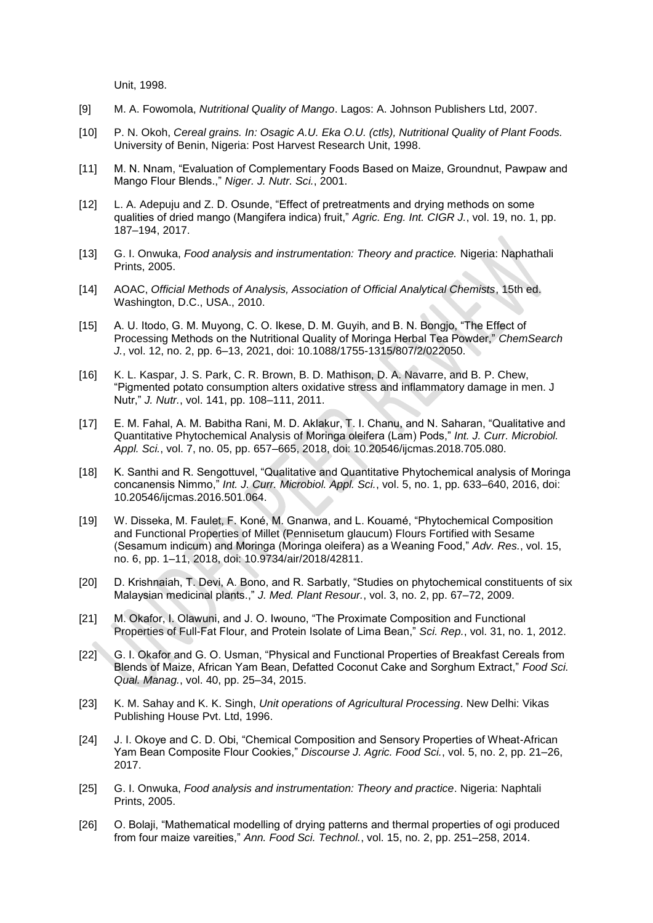Unit, 1998.

- [9] M. A. Fowomola, *Nutritional Quality of Mango*. Lagos: A. Johnson Publishers Ltd, 2007.
- [10] P. N. Okoh, *Cereal grains. In: Osagic A.U. Eka O.U. (ctls), Nutritional Quality of Plant Foods.* University of Benin, Nigeria: Post Harvest Research Unit, 1998.
- [11] M. N. Nnam, "Evaluation of Complementary Foods Based on Maize, Groundnut, Pawpaw and Mango Flour Blends.," *Niger. J. Nutr. Sci.*, 2001.
- [12] L. A. Adepuju and Z. D. Osunde, "Effect of pretreatments and drying methods on some qualities of dried mango (Mangifera indica) fruit," *Agric. Eng. Int. CIGR J.*, vol. 19, no. 1, pp. 187–194, 2017.
- [13] G. I. Onwuka, *Food analysis and instrumentation: Theory and practice.* Nigeria: Naphathali Prints, 2005.
- [14] AOAC, *Official Methods of Analysis, Association of Official Analytical Chemists*, 15th ed. Washington, D.C., USA., 2010.
- [15] A. U. Itodo, G. M. Muyong, C. O. Ikese, D. M. Guyih, and B. N. Bongjo, "The Effect of Processing Methods on the Nutritional Quality of Moringa Herbal Tea Powder," *ChemSearch J.*, vol. 12, no. 2, pp. 6–13, 2021, doi: 10.1088/1755-1315/807/2/022050.
- [16] K. L. Kaspar, J. S. Park, C. R. Brown, B. D. Mathison, D. A. Navarre, and B. P. Chew, "Pigmented potato consumption alters oxidative stress and inflammatory damage in men. J Nutr," *J. Nutr.*, vol. 141, pp. 108–111, 2011.
- [17] E. M. Fahal, A. M. Babitha Rani, M. D. Aklakur, T. I. Chanu, and N. Saharan, "Qualitative and Quantitative Phytochemical Analysis of Moringa oleifera (Lam) Pods," *Int. J. Curr. Microbiol. Appl. Sci.*, vol. 7, no. 05, pp. 657–665, 2018, doi: 10.20546/ijcmas.2018.705.080.
- [18] K. Santhi and R. Sengottuvel, "Qualitative and Quantitative Phytochemical analysis of Moringa concanensis Nimmo," *Int. J. Curr. Microbiol. Appl. Sci.*, vol. 5, no. 1, pp. 633–640, 2016, doi: 10.20546/ijcmas.2016.501.064.
- [19] W. Disseka, M. Faulet, F. Koné, M. Gnanwa, and L. Kouamé, "Phytochemical Composition and Functional Properties of Millet (Pennisetum glaucum) Flours Fortified with Sesame (Sesamum indicum) and Moringa (Moringa oleifera) as a Weaning Food," *Adv. Res.*, vol. 15, no. 6, pp. 1–11, 2018, doi: 10.9734/air/2018/42811.
- [20] D. Krishnaiah, T. Devi, A. Bono, and R. Sarbatly, "Studies on phytochemical constituents of six Malaysian medicinal plants.," *J. Med. Plant Resour.*, vol. 3, no. 2, pp. 67–72, 2009.
- [21] M. Okafor, I. Olawuni, and J. O. Iwouno, "The Proximate Composition and Functional Properties of Full-Fat Flour, and Protein Isolate of Lima Bean," *Sci. Rep.*, vol. 31, no. 1, 2012.
- [22] G. I. Okafor and G. O. Usman, "Physical and Functional Properties of Breakfast Cereals from Blends of Maize, African Yam Bean, Defatted Coconut Cake and Sorghum Extract," *Food Sci. Qual. Manag.*, vol. 40, pp. 25–34, 2015.
- [23] K. M. Sahay and K. K. Singh, *Unit operations of Agricultural Processing*. New Delhi: Vikas Publishing House Pvt. Ltd, 1996.
- [24] J. I. Okoye and C. D. Obi, "Chemical Composition and Sensory Properties of Wheat-African Yam Bean Composite Flour Cookies," *Discourse J. Agric. Food Sci.*, vol. 5, no. 2, pp. 21–26, 2017.
- [25] G. I. Onwuka, *Food analysis and instrumentation: Theory and practice*. Nigeria: Naphtali Prints, 2005.
- [26] O. Bolaji, "Mathematical modelling of drying patterns and thermal properties of ogi produced from four maize vareities," *Ann. Food Sci. Technol.*, vol. 15, no. 2, pp. 251–258, 2014.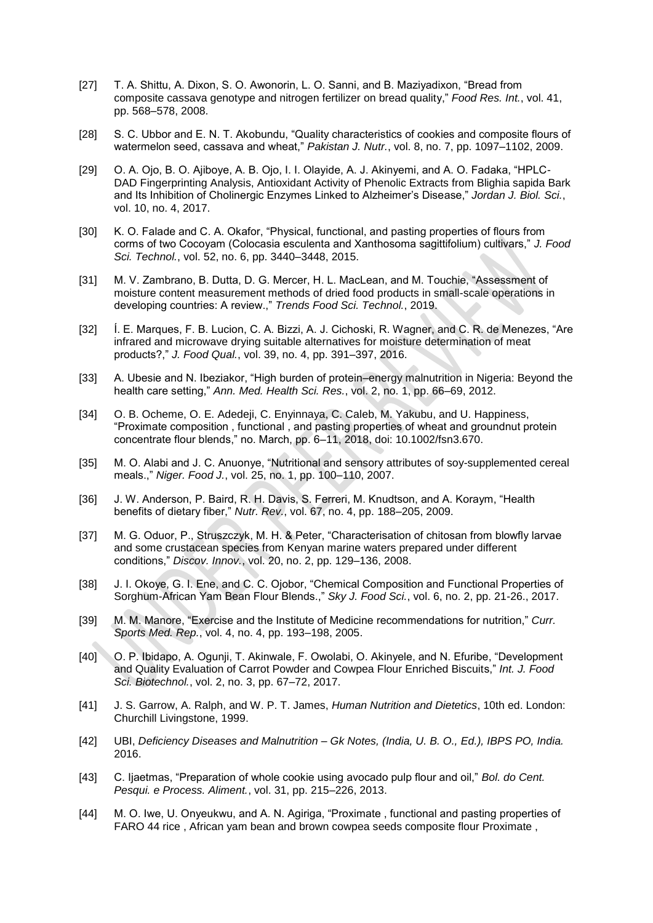- [27] T. A. Shittu, A. Dixon, S. O. Awonorin, L. O. Sanni, and B. Maziyadixon, "Bread from composite cassava genotype and nitrogen fertilizer on bread quality," *Food Res. Int.*, vol. 41, pp. 568–578, 2008.
- [28] S. C. Ubbor and E. N. T. Akobundu, "Quality characteristics of cookies and composite flours of watermelon seed, cassava and wheat," *Pakistan J. Nutr.*, vol. 8, no. 7, pp. 1097–1102, 2009.
- [29] O. A. Ojo, B. O. Ajiboye, A. B. Ojo, I. I. Olayide, A. J. Akinyemi, and A. O. Fadaka, "HPLC-DAD Fingerprinting Analysis, Antioxidant Activity of Phenolic Extracts from Blighia sapida Bark and Its Inhibition of Cholinergic Enzymes Linked to Alzheimer's Disease," *Jordan J. Biol. Sci.*, vol. 10, no. 4, 2017.
- [30] K. O. Falade and C. A. Okafor, "Physical, functional, and pasting properties of flours from corms of two Cocoyam (Colocasia esculenta and Xanthosoma sagittifolium) cultivars," *J. Food Sci. Technol.*, vol. 52, no. 6, pp. 3440–3448, 2015.
- [31] M. V. Zambrano, B. Dutta, D. G. Mercer, H. L. MacLean, and M. Touchie, "Assessment of moisture content measurement methods of dried food products in small-scale operations in developing countries: A review.," *Trends Food Sci. Technol.*, 2019.
- [32] Í. E. Marques, F. B. Lucion, C. A. Bizzi, A. J. Cichoski, R. Wagner, and C. R. de Menezes, "Are infrared and microwave drying suitable alternatives for moisture determination of meat products?," *J. Food Qual.*, vol. 39, no. 4, pp. 391–397, 2016.
- [33] A. Ubesie and N. Ibeziakor, "High burden of protein–energy malnutrition in Nigeria: Beyond the health care setting," *Ann. Med. Health Sci. Res.*, vol. 2, no. 1, pp. 66–69, 2012.
- [34] O. B. Ocheme, O. E. Adedeji, C. Enyinnaya, C. Caleb, M. Yakubu, and U. Happiness, "Proximate composition , functional , and pasting properties of wheat and groundnut protein concentrate flour blends," no. March, pp. 6–11, 2018, doi: 10.1002/fsn3.670.
- [35] M. O. Alabi and J. C. Anuonye, "Nutritional and sensory attributes of soy-supplemented cereal meals.," *Niger. Food J.*, vol. 25, no. 1, pp. 100–110, 2007.
- [36] J. W. Anderson, P. Baird, R. H. Davis, S. Ferreri, M. Knudtson, and A. Koraym, "Health benefits of dietary fiber," *Nutr. Rev.*, vol. 67, no. 4, pp. 188–205, 2009.
- [37] M. G. Oduor, P., Struszczyk, M. H. & Peter, "Characterisation of chitosan from blowfly larvae and some crustacean species from Kenyan marine waters prepared under different conditions," *Discov. Innov.*, vol. 20, no. 2, pp. 129–136, 2008.
- [38] J. I. Okoye, G. I. Ene, and C. C. Ojobor, "Chemical Composition and Functional Properties of Sorghum-African Yam Bean Flour Blends.," *Sky J. Food Sci.*, vol. 6, no. 2, pp. 21-26., 2017.
- [39] M. M. Manore, "Exercise and the Institute of Medicine recommendations for nutrition," *Curr. Sports Med. Rep.*, vol. 4, no. 4, pp. 193–198, 2005.
- [40] O. P. Ibidapo, A. Ogunji, T. Akinwale, F. Owolabi, O. Akinyele, and N. Efuribe, "Development and Quality Evaluation of Carrot Powder and Cowpea Flour Enriched Biscuits," *Int. J. Food Sci. Biotechnol.*, vol. 2, no. 3, pp. 67–72, 2017.
- [41] J. S. Garrow, A. Ralph, and W. P. T. James, *Human Nutrition and Dietetics*, 10th ed. London: Churchill Livingstone, 1999.
- [42] UBI, *Deficiency Diseases and Malnutrition – Gk Notes, (India, U. B. O., Ed.), IBPS PO, India.* 2016.
- [43] C. Ijaetmas, "Preparation of whole cookie using avocado pulp flour and oil," *Bol. do Cent. Pesqui. e Process. Aliment.*, vol. 31, pp. 215–226, 2013.
- [44] M. O. Iwe, U. Onyeukwu, and A. N. Agiriga, "Proximate, functional and pasting properties of FARO 44 rice , African yam bean and brown cowpea seeds composite flour Proximate ,